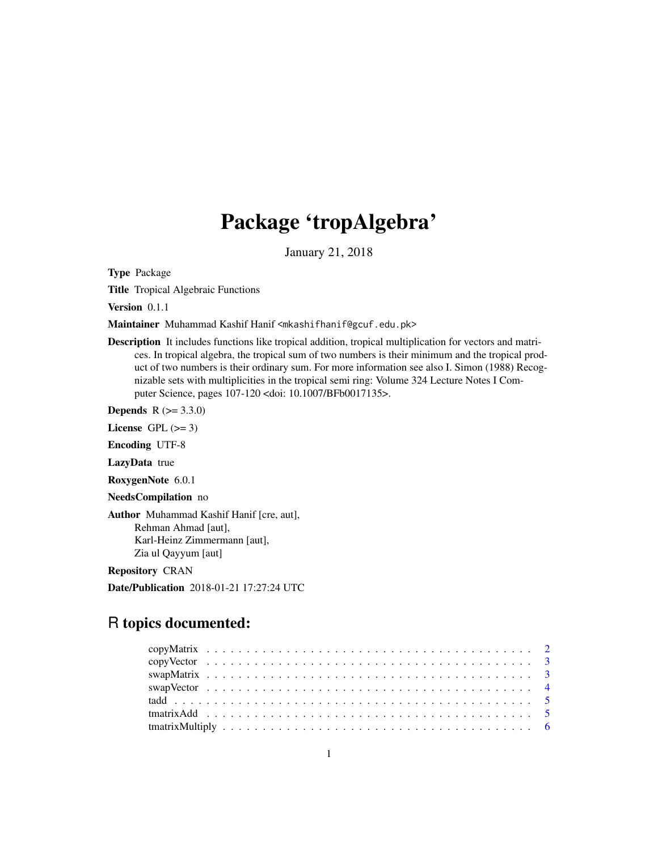# Package 'tropAlgebra'

January 21, 2018

Type Package

Title Tropical Algebraic Functions

Version 0.1.1

Maintainer Muhammad Kashif Hanif <mkashifhanif@gcuf.edu.pk>

Description It includes functions like tropical addition, tropical multiplication for vectors and matrices. In tropical algebra, the tropical sum of two numbers is their minimum and the tropical product of two numbers is their ordinary sum. For more information see also I. Simon (1988) Recognizable sets with multiplicities in the tropical semi ring: Volume 324 Lecture Notes I Computer Science, pages 107-120 <doi: 10.1007/BFb0017135>.

**Depends** R  $(>= 3.3.0)$ 

License GPL  $(>= 3)$ 

Encoding UTF-8

LazyData true

RoxygenNote 6.0.1

NeedsCompilation no

Author Muhammad Kashif Hanif [cre, aut], Rehman Ahmad [aut], Karl-Heinz Zimmermann [aut], Zia ul Qayyum [aut]

Repository CRAN

Date/Publication 2018-01-21 17:27:24 UTC

# R topics documented: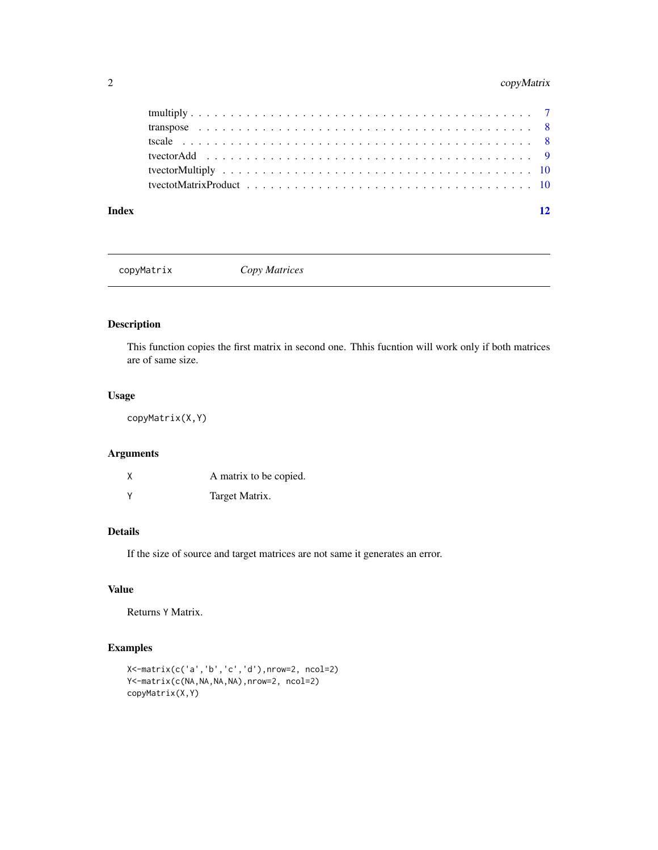# <span id="page-1-0"></span>2 copyMatrix

| Index | 12 |
|-------|----|
|       |    |
|       |    |
|       |    |
|       |    |
|       |    |
|       |    |

copyMatrix *Copy Matrices*

# Description

This function copies the first matrix in second one. Thhis fucntion will work only if both matrices are of same size.

# Usage

copyMatrix(X,Y)

# Arguments

| χ | A matrix to be copied. |
|---|------------------------|
| ٧ | Target Matrix.         |

# Details

If the size of source and target matrices are not same it generates an error.

# Value

Returns Y Matrix.

```
X<-matrix(c('a','b','c','d'),nrow=2, ncol=2)
Y<-matrix(c(NA,NA,NA,NA),nrow=2, ncol=2)
copyMatrix(X,Y)
```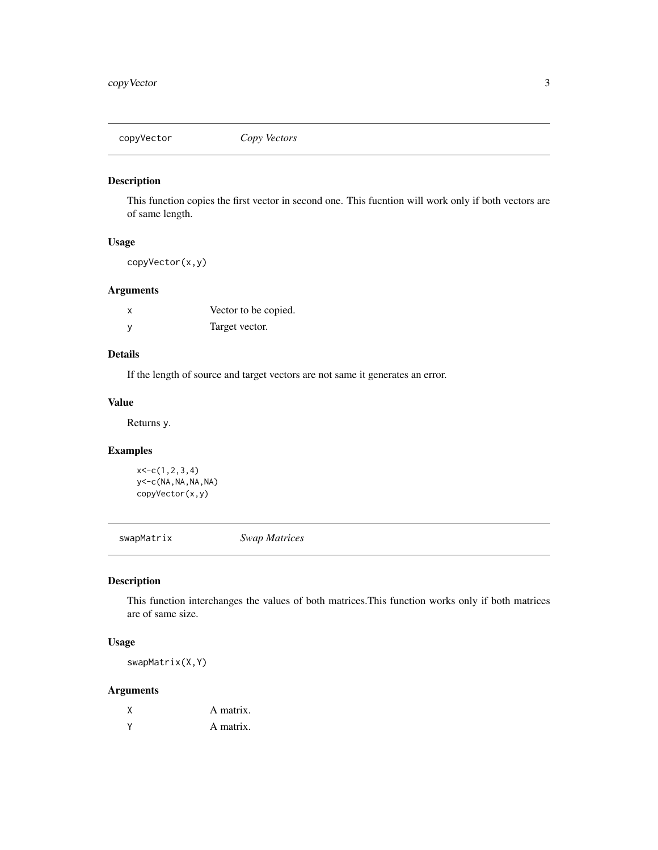<span id="page-2-0"></span>

This function copies the first vector in second one. This fucntion will work only if both vectors are of same length.

# Usage

copyVector(x,y)

# Arguments

| x            | Vector to be copied. |
|--------------|----------------------|
| $\mathsf{V}$ | Target vector.       |

# Details

If the length of source and target vectors are not same it generates an error.

# Value

Returns y.

# Examples

```
x<-c(1,2,3,4)
y<-c(NA,NA,NA,NA)
copyVector(x,y)
```
swapMatrix *Swap Matrices*

# Description

This function interchanges the values of both matrices.This function works only if both matrices are of same size.

# Usage

swapMatrix(X,Y)

# Arguments

|          | A matrix. |
|----------|-----------|
| <b>v</b> | A matrix. |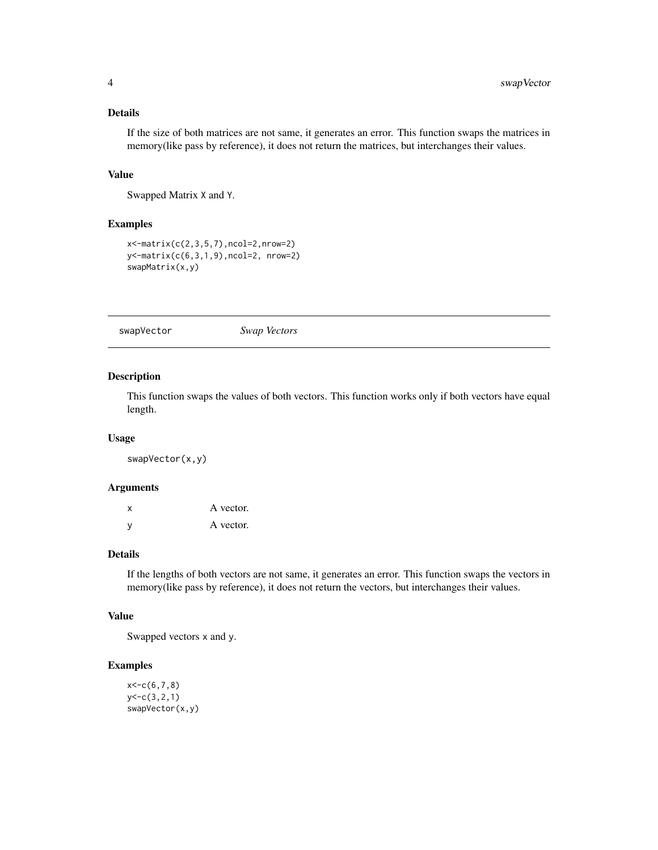# <span id="page-3-0"></span>Details

If the size of both matrices are not same, it generates an error. This function swaps the matrices in memory(like pass by reference), it does not return the matrices, but interchanges their values.

#### Value

Swapped Matrix X and Y.

# Examples

```
x<-matrix(c(2,3,5,7),ncol=2,nrow=2)
y<-matrix(c(6,3,1,9),ncol=2, nrow=2)
swapMatrix(x,y)
```
swapVector *Swap Vectors*

#### Description

This function swaps the values of both vectors. This function works only if both vectors have equal length.

# Usage

swapVector(x,y)

#### Arguments

| $\mathbf{x}$ | A vector. |
|--------------|-----------|
| - V          | A vector. |

# Details

If the lengths of both vectors are not same, it generates an error. This function swaps the vectors in memory(like pass by reference), it does not return the vectors, but interchanges their values.

# Value

Swapped vectors x and y.

```
x < -c(6, 7, 8)y<-c(3,2,1)
swapVector(x,y)
```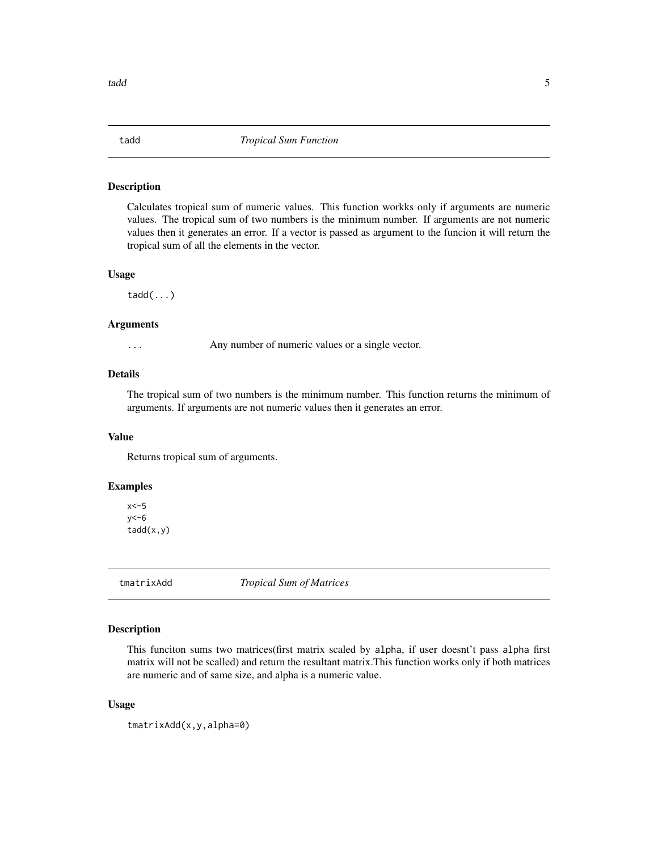<span id="page-4-0"></span>

Calculates tropical sum of numeric values. This function workks only if arguments are numeric values. The tropical sum of two numbers is the minimum number. If arguments are not numeric values then it generates an error. If a vector is passed as argument to the funcion it will return the tropical sum of all the elements in the vector.

#### Usage

tadd(...)

# Arguments

... Any number of numeric values or a single vector.

#### Details

The tropical sum of two numbers is the minimum number. This function returns the minimum of arguments. If arguments are not numeric values then it generates an error.

# Value

Returns tropical sum of arguments.

# Examples

 $x < -5$  $y<-\frac{6}{5}$ tadd(x,y)

tmatrixAdd *Tropical Sum of Matrices*

# Description

This funciton sums two matrices(first matrix scaled by alpha, if user doesnt't pass alpha first matrix will not be scalled) and return the resultant matrix.This function works only if both matrices are numeric and of same size, and alpha is a numeric value.

# Usage

tmatrixAdd(x,y,alpha=0)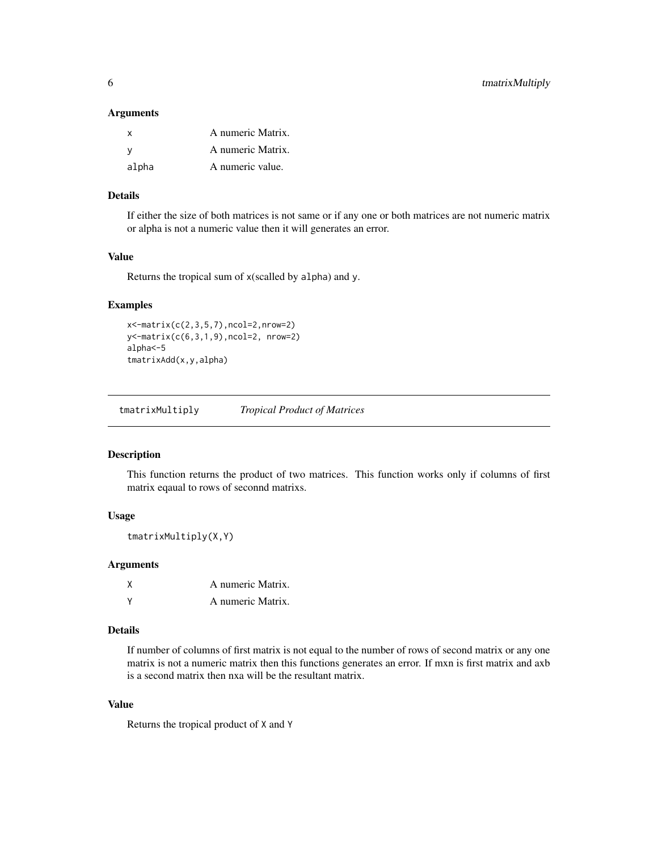#### <span id="page-5-0"></span>**Arguments**

| $\mathsf{X}$ | A numeric Matrix. |
|--------------|-------------------|
| - V          | A numeric Matrix. |
| alpha        | A numeric value.  |

# Details

If either the size of both matrices is not same or if any one or both matrices are not numeric matrix or alpha is not a numeric value then it will generates an error.

# Value

Returns the tropical sum of x(scalled by alpha) and y.

# Examples

```
x<-matrix(c(2,3,5,7),ncol=2,nrow=2)
y<-matrix(c(6,3,1,9),ncol=2, nrow=2)
alpha<-5
tmatrixAdd(x,y,alpha)
```
tmatrixMultiply *Tropical Product of Matrices*

# Description

This function returns the product of two matrices. This function works only if columns of first matrix eqaual to rows of seconnd matrixs.

# Usage

```
tmatrixMultiply(X,Y)
```
#### Arguments

| χ | A numeric Matrix. |
|---|-------------------|
| v | A numeric Matrix. |

# Details

If number of columns of first matrix is not equal to the number of rows of second matrix or any one matrix is not a numeric matrix then this functions generates an error. If mxn is first matrix and axb is a second matrix then nxa will be the resultant matrix.

# Value

Returns the tropical product of X and Y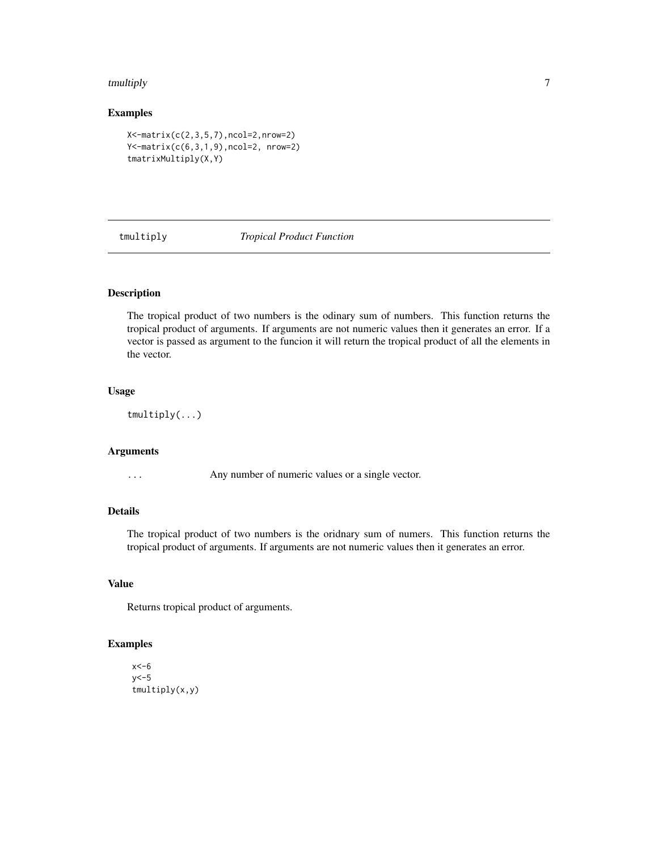#### <span id="page-6-0"></span>tmultiply the contract of the contract of the contract of the contract of the contract of the contract of the contract of the contract of the contract of the contract of the contract of the contract of the contract of the

# Examples

```
X<-matrix(c(2,3,5,7),ncol=2,nrow=2)
Y<-matrix(c(6,3,1,9),ncol=2, nrow=2)
tmatrixMultiply(X,Y)
```
tmultiply *Tropical Product Function*

# Description

The tropical product of two numbers is the odinary sum of numbers. This function returns the tropical product of arguments. If arguments are not numeric values then it generates an error. If a vector is passed as argument to the funcion it will return the tropical product of all the elements in the vector.

# Usage

tmultiply(...)

# Arguments

... Any number of numeric values or a single vector.

# Details

The tropical product of two numbers is the oridnary sum of numers. This function returns the tropical product of arguments. If arguments are not numeric values then it generates an error.

# Value

Returns tropical product of arguments.

```
x < -6y<-5
tmultiply(x,y)
```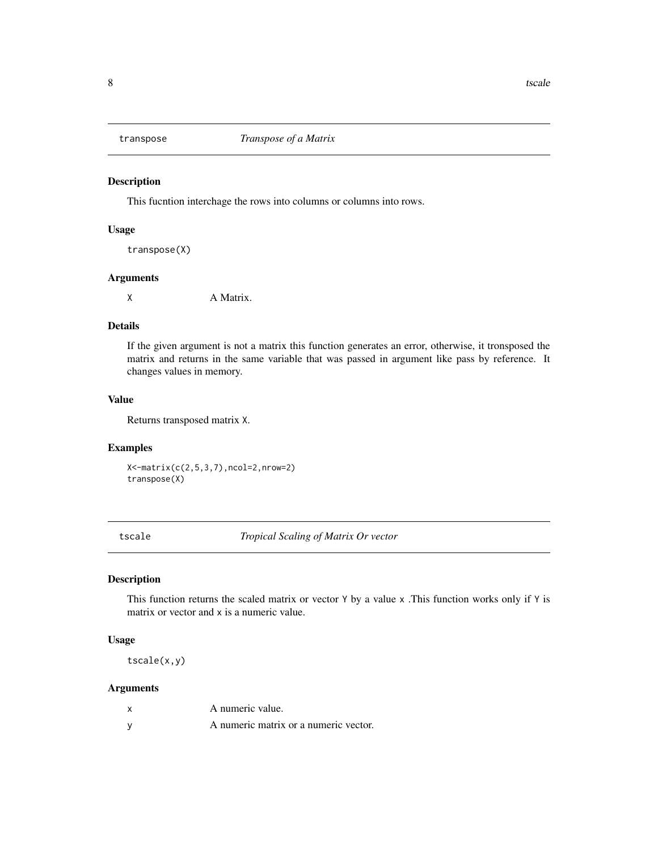<span id="page-7-0"></span>

This fucntion interchage the rows into columns or columns into rows.

# Usage

transpose(X)

# Arguments

X A Matrix.

# Details

If the given argument is not a matrix this function generates an error, otherwise, it tronsposed the matrix and returns in the same variable that was passed in argument like pass by reference. It changes values in memory.

#### Value

Returns transposed matrix X.

# Examples

X<-matrix(c(2,5,3,7),ncol=2,nrow=2) transpose(X)

tscale *Tropical Scaling of Matrix Or vector*

# Description

This function returns the scaled matrix or vector Y by a value x .This function works only if Y is matrix or vector and x is a numeric value.

# Usage

tscale(x,y)

# Arguments

| A numeric value.                      |
|---------------------------------------|
| A numeric matrix or a numeric vector. |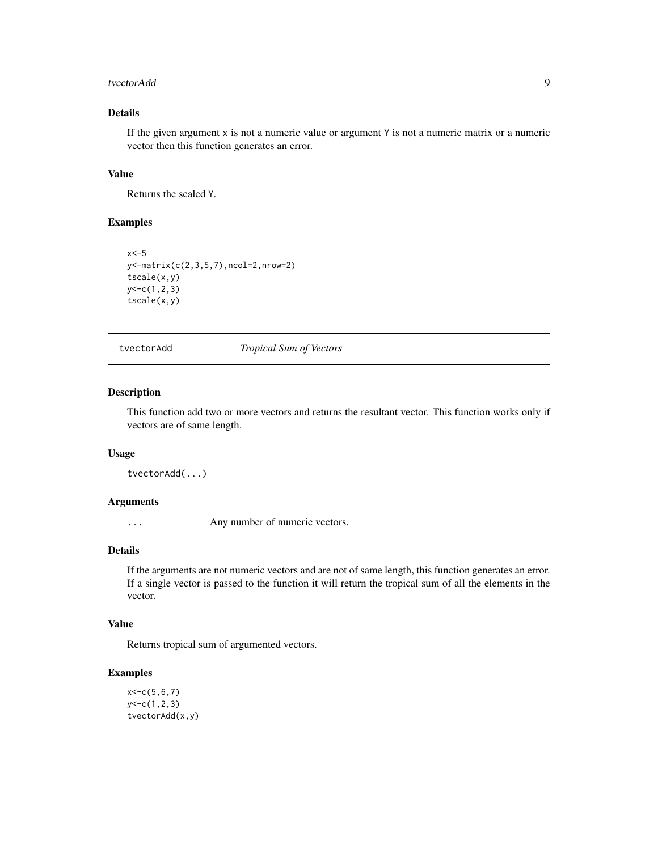#### <span id="page-8-0"></span>tvectorAdd 9

# Details

If the given argument x is not a numeric value or argument Y is not a numeric matrix or a numeric vector then this function generates an error.

# Value

Returns the scaled Y.

# Examples

```
x < -5y<-matrix(c(2,3,5,7),ncol=2,nrow=2)
tscale(x,y)
y<-c(1,2,3)
tscale(x,y)
```
tvectorAdd *Tropical Sum of Vectors*

# Description

This function add two or more vectors and returns the resultant vector. This function works only if vectors are of same length.

# Usage

```
tvectorAdd(...)
```
# Arguments

... Any number of numeric vectors.

# Details

If the arguments are not numeric vectors and are not of same length, this function generates an error. If a single vector is passed to the function it will return the tropical sum of all the elements in the vector.

# Value

Returns tropical sum of argumented vectors.

```
x < -c(5, 6, 7)y < -c(1, 2, 3)tvectorAdd(x,y)
```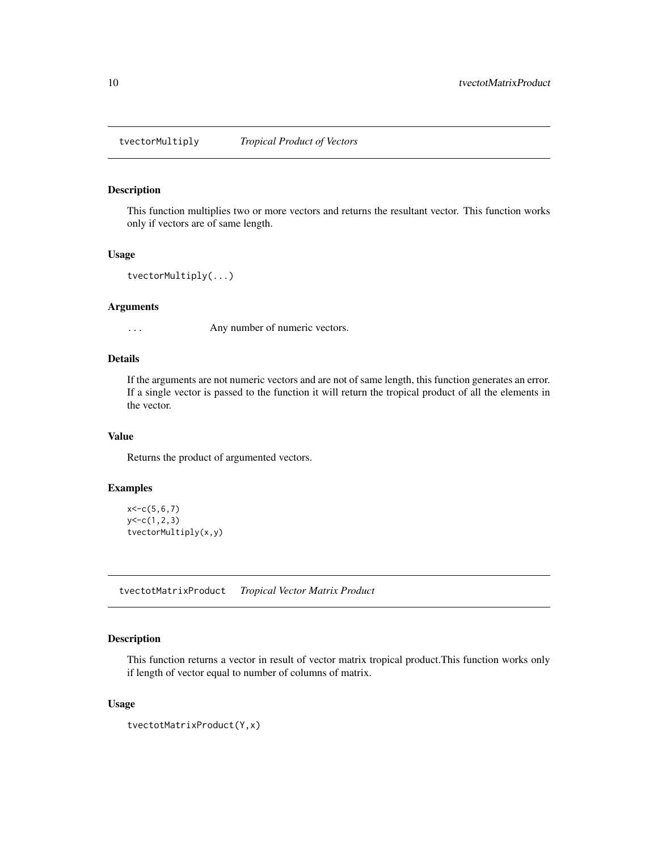<span id="page-9-0"></span>

This function multiplies two or more vectors and returns the resultant vector. This function works only if vectors are of same length.

#### Usage

tvectorMultiply(...)

# Arguments

... Any number of numeric vectors.

# Details

If the arguments are not numeric vectors and are not of same length, this function generates an error. If a single vector is passed to the function it will return the tropical product of all the elements in the vector.

# Value

Returns the product of argumented vectors.

# Examples

```
x < -c(5, 6, 7)y < -c(1, 2, 3)tvectorMultiply(x,y)
```
tvectotMatrixProduct *Tropical Vector Matrix Product*

# Description

This function returns a vector in result of vector matrix tropical product.This function works only if length of vector equal to number of columns of matrix.

# Usage

```
tvectotMatrixProduct(Y,x)
```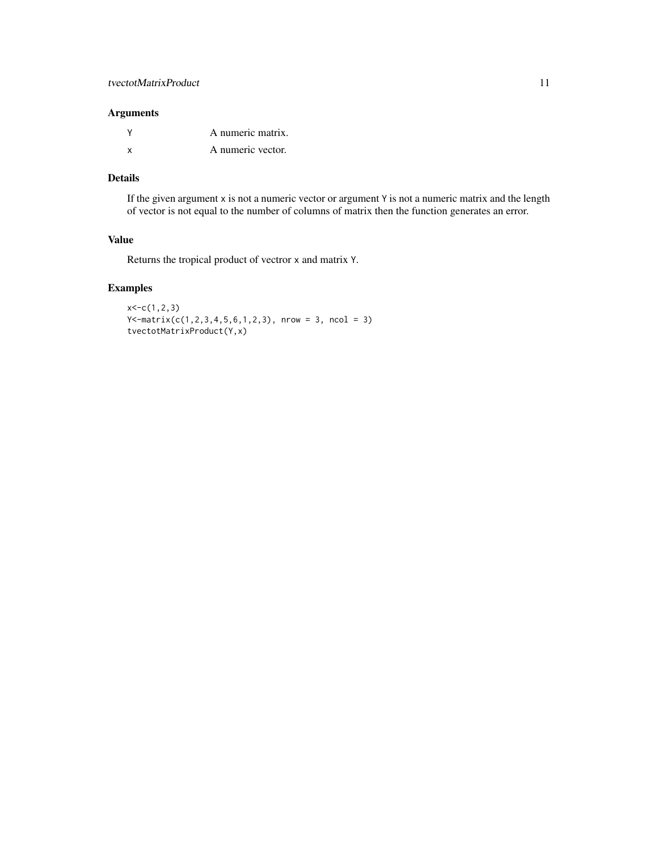# Arguments

|          | A numeric matrix. |
|----------|-------------------|
| <b>x</b> | A numeric vector. |

# Details

If the given argument x is not a numeric vector or argument Y is not a numeric matrix and the length of vector is not equal to the number of columns of matrix then the function generates an error.

# Value

Returns the tropical product of vectror x and matrix Y.

```
x < -c(1, 2, 3)Y \leftarrow matrix(c(1, 2, 3, 4, 5, 6, 1, 2, 3), nrow = 3, ncol = 3)
tvectotMatrixProduct(Y,x)
```